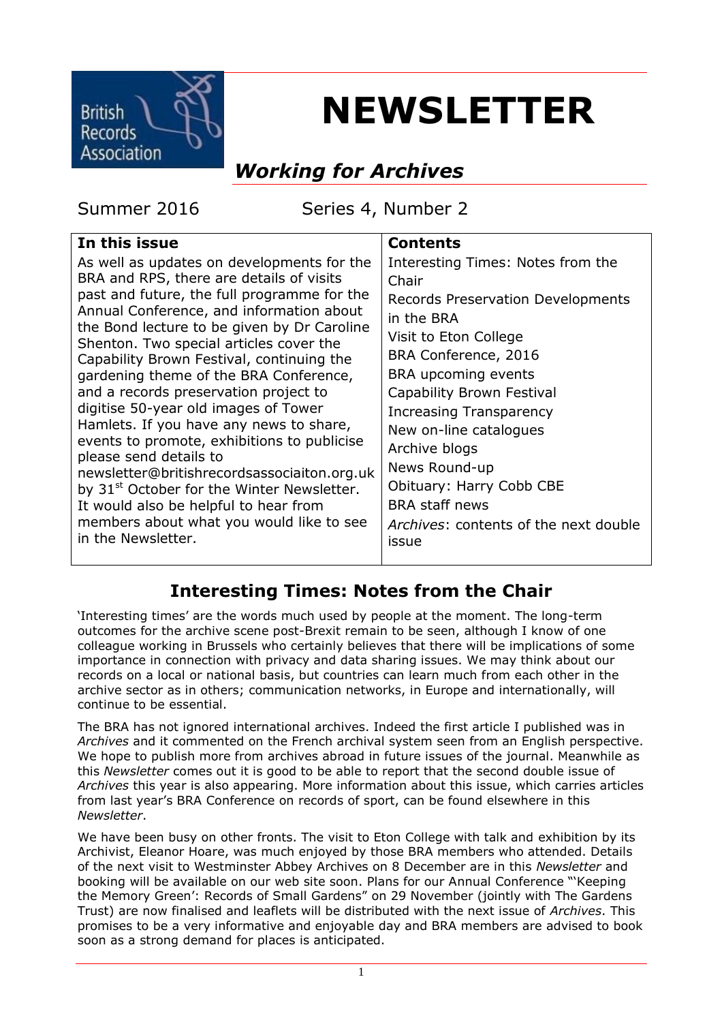

# **NEWSLETTER**

### *Working for Archives*

Summer 2016 Series 4, Number 2

| In this issue                                                                                                                                                                                                                                                                                                                                                                                                                                                                                                                                                                                                                                                                                                                                                                               | <b>Contents</b>                                                                                                                                                                                                                                                                                                                                                                                  |
|---------------------------------------------------------------------------------------------------------------------------------------------------------------------------------------------------------------------------------------------------------------------------------------------------------------------------------------------------------------------------------------------------------------------------------------------------------------------------------------------------------------------------------------------------------------------------------------------------------------------------------------------------------------------------------------------------------------------------------------------------------------------------------------------|--------------------------------------------------------------------------------------------------------------------------------------------------------------------------------------------------------------------------------------------------------------------------------------------------------------------------------------------------------------------------------------------------|
| As well as updates on developments for the<br>BRA and RPS, there are details of visits<br>past and future, the full programme for the<br>Annual Conference, and information about<br>the Bond lecture to be given by Dr Caroline<br>Shenton. Two special articles cover the<br>Capability Brown Festival, continuing the<br>gardening theme of the BRA Conference,<br>and a records preservation project to<br>digitise 50-year old images of Tower<br>Hamlets. If you have any news to share,<br>events to promote, exhibitions to publicise<br>please send details to<br>newsletter@britishrecordsassociaiton.org.uk<br>by 31 <sup>st</sup> October for the Winter Newsletter.<br>It would also be helpful to hear from<br>members about what you would like to see<br>in the Newsletter. | Interesting Times: Notes from the<br>Chair<br>Records Preservation Developments<br>in the BRA<br>Visit to Eton College<br>BRA Conference, 2016<br>BRA upcoming events<br>Capability Brown Festival<br>Increasing Transparency<br>New on-line catalogues<br>Archive blogs<br>News Round-up<br>Obituary: Harry Cobb CBE<br><b>BRA</b> staff news<br>Archives: contents of the next double<br>issue |
|                                                                                                                                                                                                                                                                                                                                                                                                                                                                                                                                                                                                                                                                                                                                                                                             |                                                                                                                                                                                                                                                                                                                                                                                                  |

#### **Interesting Times: Notes from the Chair**

'Interesting times' are the words much used by people at the moment. The long-term outcomes for the archive scene post-Brexit remain to be seen, although I know of one colleague working in Brussels who certainly believes that there will be implications of some importance in connection with privacy and data sharing issues. We may think about our records on a local or national basis, but countries can learn much from each other in the archive sector as in others; communication networks, in Europe and internationally, will continue to be essential.

The BRA has not ignored international archives. Indeed the first article I published was in *Archives* and it commented on the French archival system seen from an English perspective. We hope to publish more from archives abroad in future issues of the journal. Meanwhile as this *Newsletter* comes out it is good to be able to report that the second double issue of *Archives* this year is also appearing. More information about this issue, which carries articles from last year's BRA Conference on records of sport, can be found elsewhere in this *Newsletter*.

We have been busy on other fronts. The visit to Eton College with talk and exhibition by its Archivist, Eleanor Hoare, was much enjoyed by those BRA members who attended. Details of the next visit to Westminster Abbey Archives on 8 December are in this *Newsletter* and booking will be available on our web site soon. Plans for our Annual Conference "'Keeping the Memory Green': Records of Small Gardens" on 29 November (jointly with The Gardens Trust) are now finalised and leaflets will be distributed with the next issue of *Archives*. This promises to be a very informative and enjoyable day and BRA members are advised to book soon as a strong demand for places is anticipated.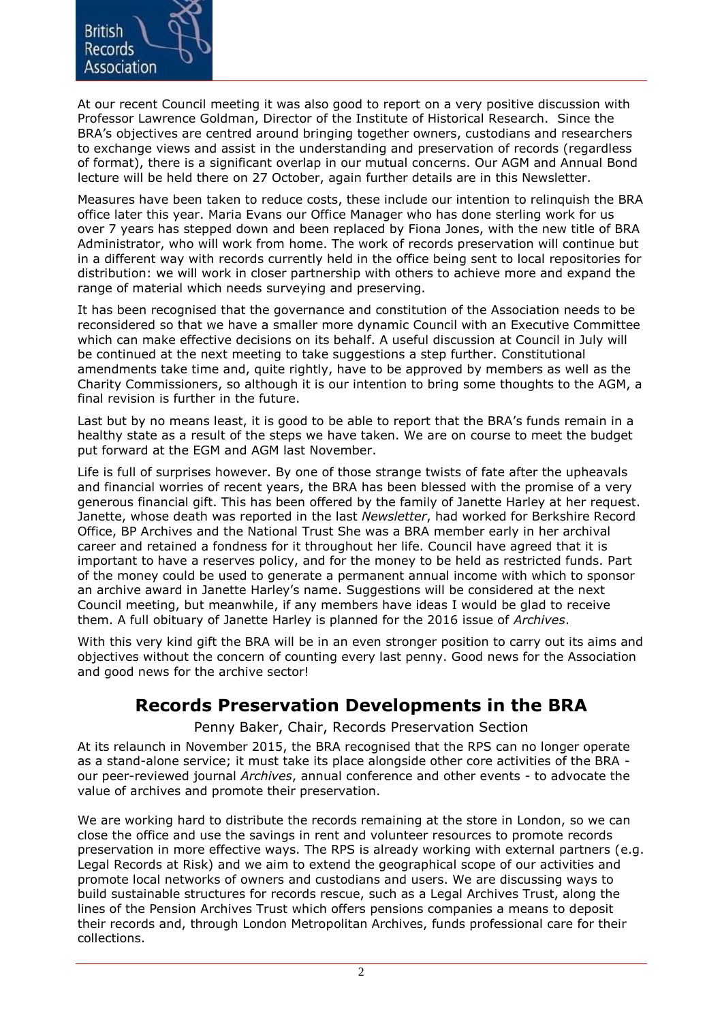

At our recent Council meeting it was also good to report on a very positive discussion with Professor Lawrence Goldman, Director of the Institute of Historical Research. Since the BRA's objectives are centred around bringing together owners, custodians and researchers to exchange views and assist in the understanding and preservation of records (regardless of format), there is a significant overlap in our mutual concerns. Our AGM and Annual Bond lecture will be held there on 27 October, again further details are in this Newsletter.

Measures have been taken to reduce costs, these include our intention to relinquish the BRA office later this year. Maria Evans our Office Manager who has done sterling work for us over 7 years has stepped down and been replaced by Fiona Jones, with the new title of BRA Administrator, who will work from home. The work of records preservation will continue but in a different way with records currently held in the office being sent to local repositories for distribution: we will work in closer partnership with others to achieve more and expand the range of material which needs surveying and preserving.

It has been recognised that the governance and constitution of the Association needs to be reconsidered so that we have a smaller more dynamic Council with an Executive Committee which can make effective decisions on its behalf. A useful discussion at Council in July will be continued at the next meeting to take suggestions a step further. Constitutional amendments take time and, quite rightly, have to be approved by members as well as the Charity Commissioners, so although it is our intention to bring some thoughts to the AGM, a final revision is further in the future.

Last but by no means least, it is good to be able to report that the BRA's funds remain in a healthy state as a result of the steps we have taken. We are on course to meet the budget put forward at the EGM and AGM last November.

Life is full of surprises however. By one of those strange twists of fate after the upheavals and financial worries of recent years, the BRA has been blessed with the promise of a very generous financial gift. This has been offered by the family of Janette Harley at her request. Janette, whose death was reported in the last *Newsletter*, had worked for Berkshire Record Office, BP Archives and the National Trust She was a BRA member early in her archival career and retained a fondness for it throughout her life. Council have agreed that it is important to have a reserves policy, and for the money to be held as restricted funds. Part of the money could be used to generate a permanent annual income with which to sponsor an archive award in Janette Harley's name. Suggestions will be considered at the next Council meeting, but meanwhile, if any members have ideas I would be glad to receive them. A full obituary of Janette Harley is planned for the 2016 issue of *Archives*.

With this very kind gift the BRA will be in an even stronger position to carry out its aims and objectives without the concern of counting every last penny. Good news for the Association and good news for the archive sector!

#### **Records Preservation Developments in the BRA**

Penny Baker, Chair, Records Preservation Section

At its relaunch in November 2015, the BRA recognised that the RPS can no longer operate as a stand-alone service; it must take its place alongside other core activities of the BRA our peer-reviewed journal *Archives*, annual conference and other events - to advocate the value of archives and promote their preservation.

We are working hard to distribute the records remaining at the store in London, so we can close the office and use the savings in rent and volunteer resources to promote records preservation in more effective ways. The RPS is already working with external partners (e.g. Legal Records at Risk) and we aim to extend the geographical scope of our activities and promote local networks of owners and custodians and users. We are discussing ways to build sustainable structures for records rescue, such as a Legal Archives Trust, along the lines of the Pension Archives Trust which offers pensions companies a means to deposit their records and, through London Metropolitan Archives, funds professional care for their collections.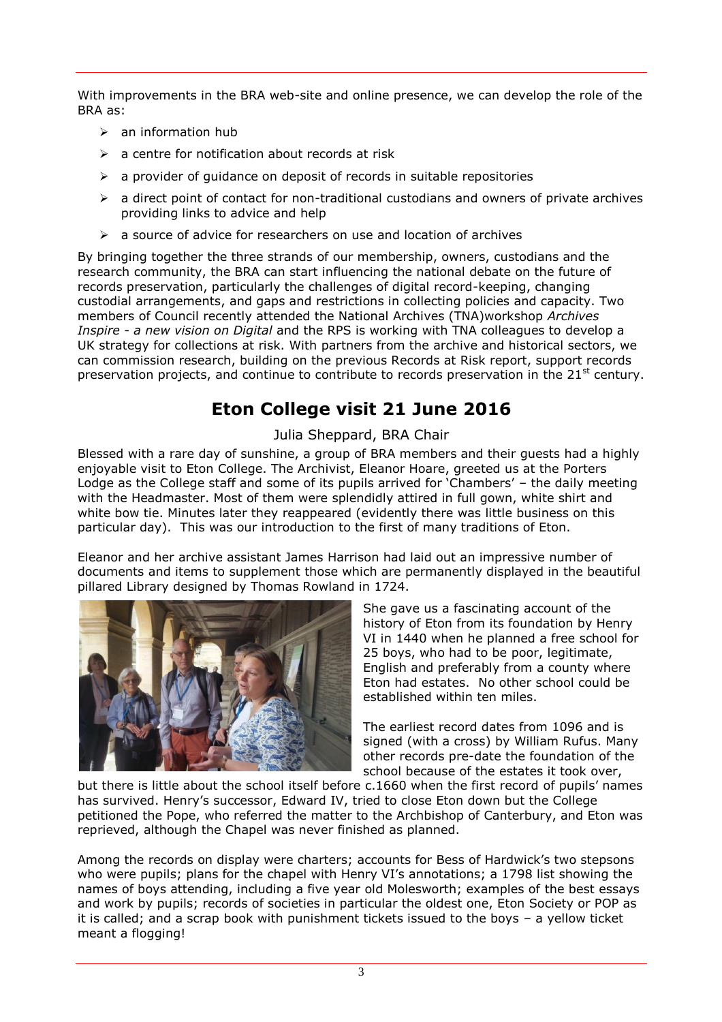With improvements in the BRA web-site and online presence, we can develop the role of the BRA as:

- $\triangleright$  an information hub
- $\triangleright$  a centre for notification about records at risk
- $\triangleright$  a provider of guidance on deposit of records in suitable repositories
- $\triangleright$  a direct point of contact for non-traditional custodians and owners of private archives providing links to advice and help
- $\triangleright$  a source of advice for researchers on use and location of archives

By bringing together the three strands of our membership, owners, custodians and the research community, the BRA can start influencing the national debate on the future of records preservation, particularly the challenges of digital record-keeping, changing custodial arrangements, and gaps and restrictions in collecting policies and capacity. Two members of Council recently attended the National Archives (TNA)workshop *Archives Inspire - a new vision on Digital* and the RPS is working with TNA colleagues to develop a UK strategy for collections at risk. With partners from the archive and historical sectors, we can commission research, building on the previous Records at Risk report, support records preservation projects, and continue to contribute to records preservation in the  $21<sup>st</sup>$  century.

#### **Eton College visit 21 June 2016**

#### Julia Sheppard, BRA Chair

Blessed with a rare day of sunshine, a group of BRA members and their guests had a highly enjoyable visit to Eton College. The Archivist, Eleanor Hoare, greeted us at the Porters Lodge as the College staff and some of its pupils arrived for 'Chambers' – the daily meeting with the Headmaster. Most of them were splendidly attired in full gown, white shirt and white bow tie. Minutes later they reappeared (evidently there was little business on this particular day). This was our introduction to the first of many traditions of Eton.

Eleanor and her archive assistant James Harrison had laid out an impressive number of documents and items to supplement those which are permanently displayed in the beautiful pillared Library designed by Thomas Rowland in 1724.



She gave us a fascinating account of the history of Eton from its foundation by Henry VI in 1440 when he planned a free school for 25 boys, who had to be poor, legitimate, English and preferably from a county where Eton had estates. No other school could be established within ten miles.

The earliest record dates from 1096 and is signed (with a cross) by William Rufus. Many other records pre-date the foundation of the school because of the estates it took over,

but there is little about the school itself before c.1660 when the first record of pupils' names has survived. Henry's successor, Edward IV, tried to close Eton down but the College petitioned the Pope, who referred the matter to the Archbishop of Canterbury, and Eton was reprieved, although the Chapel was never finished as planned.

Among the records on display were charters; accounts for Bess of Hardwick's two stepsons who were pupils; plans for the chapel with Henry VI's annotations; a 1798 list showing the names of boys attending, including a five year old Molesworth; examples of the best essays and work by pupils; records of societies in particular the oldest one, Eton Society or POP as it is called; and a scrap book with punishment tickets issued to the boys – a yellow ticket meant a flogging!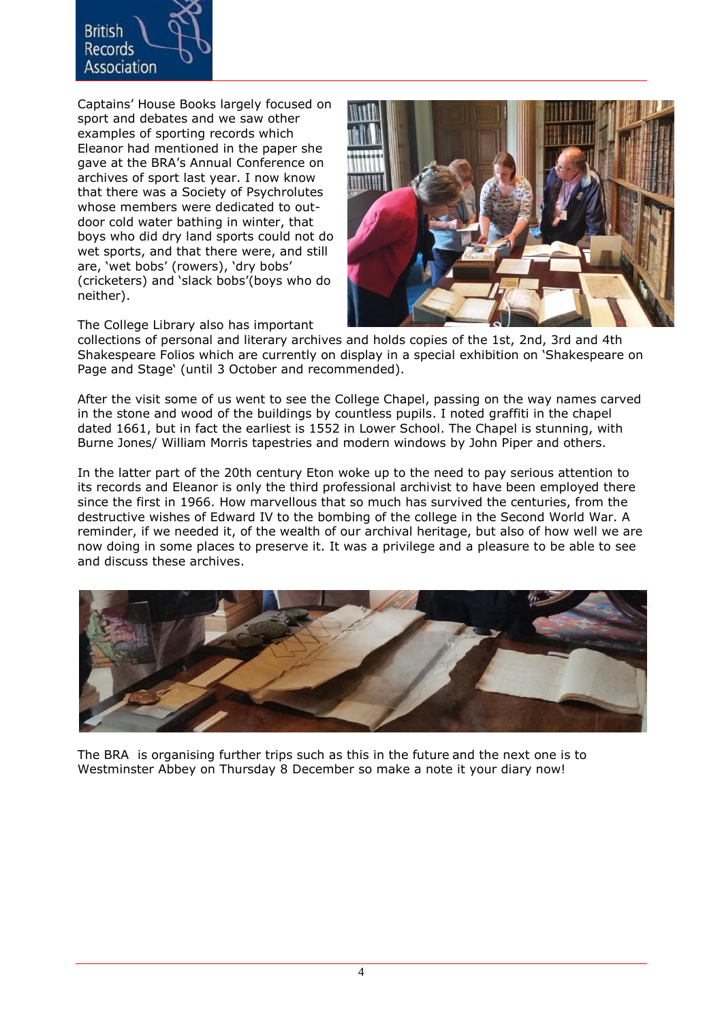

Captains' House Books largely focused on sport and debates and we saw other examples of sporting records which Eleanor had mentioned in the paper she gave at the BRA's Annual Conference on archives of sport last year. I now know that there was a Society of Psychrolutes whose members were dedicated to outdoor cold water bathing in winter, that boys who did dry land sports could not do wet sports, and that there were, and still are, 'wet bobs' (rowers), 'dry bobs' (cricketers) and 'slack bobs'(boys who do neither).



The College Library also has important

collections of personal and literary archives and holds copies of the 1st, 2nd, 3rd and 4th Shakespeare Folios which are currently on display in a special exhibition on 'Shakespeare on Page and Stage' (until 3 October and recommended).

After the visit some of us went to see the College Chapel, passing on the way names carved in the stone and wood of the buildings by countless pupils. I noted graffiti in the chapel dated 1661, but in fact the earliest is 1552 in Lower School. The Chapel is stunning, with Burne Jones/ William Morris tapestries and modern windows by John Piper and others.

In the latter part of the 20th century Eton woke up to the need to pay serious attention to its records and Eleanor is only the third professional archivist to have been employed there since the first in 1966. How marvellous that so much has survived the centuries, from the destructive wishes of Edward IV to the bombing of the college in the Second World War. A reminder, if we needed it, of the wealth of our archival heritage, but also of how well we are now doing in some places to preserve it. It was a privilege and a pleasure to be able to see and discuss these archives.



The BRA is organising further trips such as this in the future and the next one is to Westminster Abbey on Thursday 8 December so make a note it your diary now!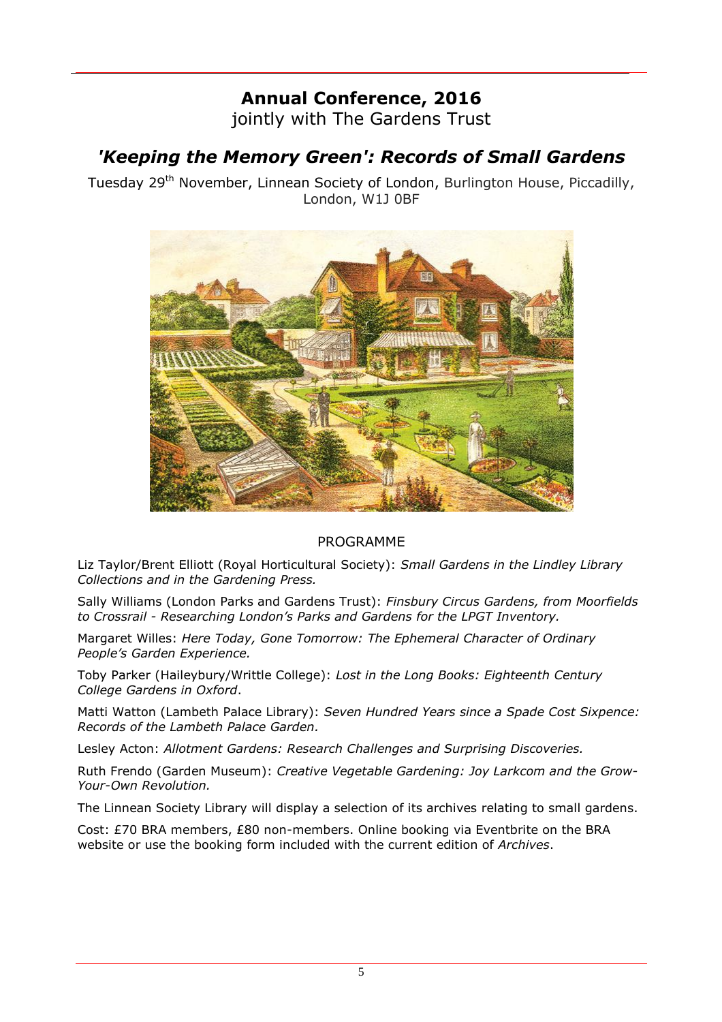## **Annual Conference, 2016**

jointly with The Gardens Trust

#### *'Keeping the Memory Green': Records of Small Gardens*

Tuesday 29<sup>th</sup> November, Linnean Society of London, Burlington House, Piccadilly, London, W1J 0BF



#### PROGRAMME

Liz Taylor/Brent Elliott (Royal Horticultural Society): *Small Gardens in the Lindley Library Collections and in the Gardening Press.*

Sally Williams (London Parks and Gardens Trust): *Finsbury Circus Gardens, from Moorfields to Crossrail - Researching London's Parks and Gardens for the LPGT Inventory.*

Margaret Willes: *Here Today, Gone Tomorrow: The Ephemeral Character of Ordinary People's Garden Experience.*

Toby Parker (Haileybury/Writtle College): *Lost in the Long Books: Eighteenth Century College Gardens in Oxford*.

Matti Watton (Lambeth Palace Library): *Seven Hundred Years since a Spade Cost Sixpence: Records of the Lambeth Palace Garden.*

Lesley Acton: *Allotment Gardens: Research Challenges and Surprising Discoveries.*

Ruth Frendo (Garden Museum): *Creative Vegetable Gardening: Joy Larkcom and the Grow-Your-Own Revolution.*

The Linnean Society Library will display a selection of its archives relating to small gardens.

Cost: £70 BRA members, £80 non-members. Online booking via Eventbrite on the BRA website or use the booking form included with the current edition of *Archives*.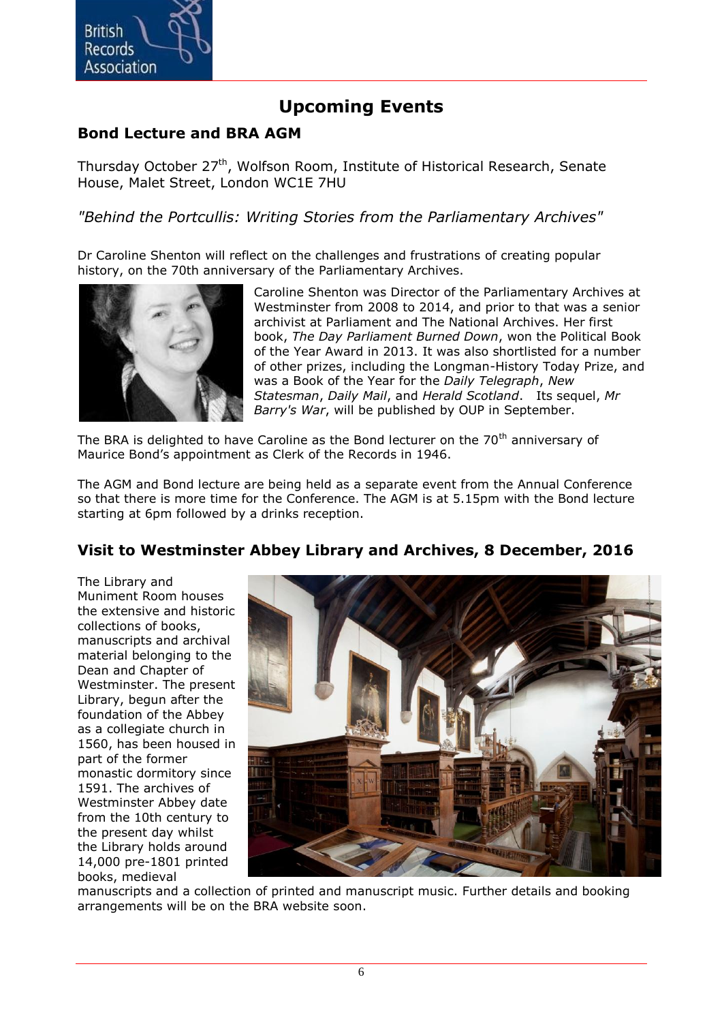

#### **Upcoming Events**

#### **Bond Lecture and BRA AGM**

Thursday October 27<sup>th</sup>, Wolfson Room, Institute of Historical Research, Senate House, Malet Street, London WC1E 7HU

*"Behind the Portcullis: Writing Stories from the Parliamentary Archives"*

Dr Caroline Shenton will reflect on the challenges and frustrations of creating popular history, on the 70th anniversary of the Parliamentary Archives.



Caroline Shenton was Director of the Parliamentary Archives at Westminster from 2008 to 2014, and prior to that was a senior archivist at Parliament and The National Archives. Her first book, *The Day Parliament Burned Down*, won the Political Book of the Year Award in 2013. It was also shortlisted for a number of other prizes, including the Longman-History Today Prize, and was a Book of the Year for the *Daily Telegraph*, *New Statesman*, *Daily Mail*, and *Herald Scotland*. Its sequel, *Mr Barry's War*, will be published by OUP in September.

The BRA is delighted to have Caroline as the Bond lecturer on the  $70<sup>th</sup>$  anniversarv of Maurice Bond's appointment as Clerk of the Records in 1946.

The AGM and Bond lecture are being held as a separate event from the Annual Conference so that there is more time for the Conference. The AGM is at 5.15pm with the Bond lecture starting at 6pm followed by a drinks reception.

#### **Visit to Westminster Abbey Library and Archives, 8 December, 2016**

The Library and Muniment Room houses the extensive and historic collections of books, manuscripts and archival material belonging to the Dean and Chapter of Westminster. The present Library, begun after the foundation of the Abbey as a collegiate church in 1560, has been housed in part of the former monastic dormitory since 1591. The archives of Westminster Abbey date from the 10th century to the present day whilst the Library holds around 14,000 pre-1801 printed books, medieval



manuscripts and a collection of printed and manuscript music. Further details and booking arrangements will be on the BRA website soon.

6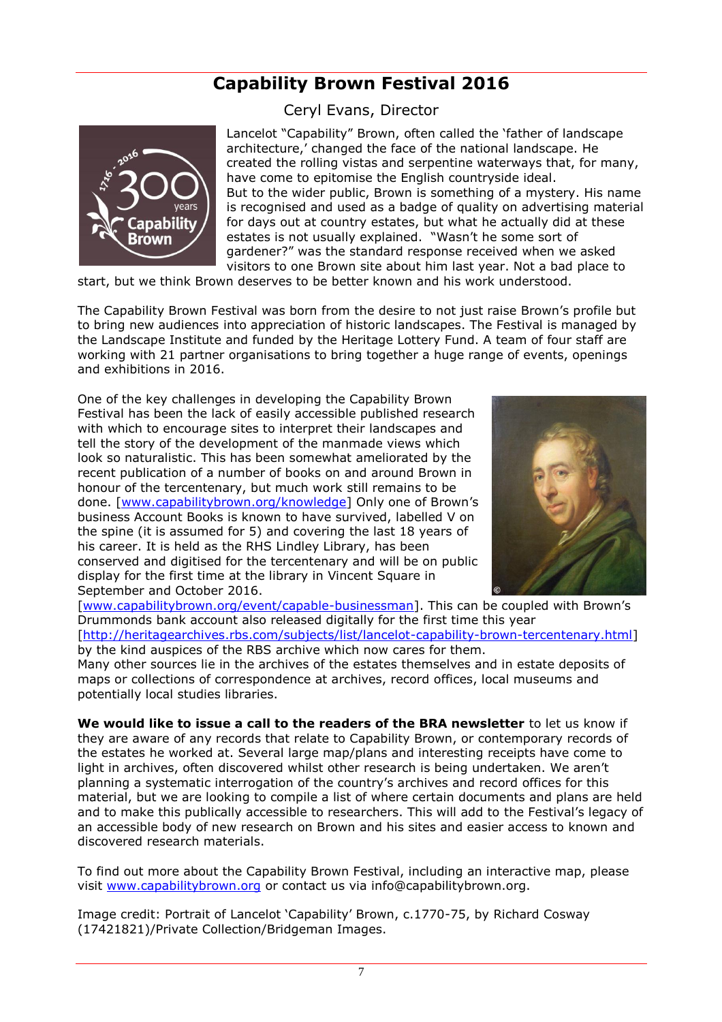#### **Capability Brown Festival 2016**

Ceryl Evans, Director



Lancelot "Capability" Brown, often called the 'father of landscape architecture,' changed the face of the national landscape. He created the rolling vistas and serpentine waterways that, for many, have come to epitomise the English countryside ideal. But to the wider public, Brown is something of a mystery. His name is recognised and used as a badge of quality on advertising material for days out at country estates, but what he actually did at these estates is not usually explained. "Wasn't he some sort of gardener?" was the standard response received when we asked visitors to one Brown site about him last year. Not a bad place to

start, but we think Brown deserves to be better known and his work understood.

The Capability Brown Festival was born from the desire to not just raise Brown's profile but to bring new audiences into appreciation of historic landscapes. The Festival is managed by the Landscape Institute and funded by the Heritage Lottery Fund. A team of four staff are working with 21 partner organisations to bring together a huge range of events, openings and exhibitions in 2016.

One of the key challenges in developing the Capability Brown Festival has been the lack of easily accessible published research with which to encourage sites to interpret their landscapes and tell the story of the development of the manmade views which look so naturalistic. This has been somewhat ameliorated by the recent publication of a number of books on and around Brown in honour of the tercentenary, but much work still remains to be done. [\[www.capabilitybrown.org/knowledge](www.capabilitybrown.org/knowledge)] Only one of Brown's business Account Books is known to have survived, labelled V on the spine (it is assumed for 5) and covering the last 18 years of his career. It is held as the RHS Lindley Library, has been conserved and digitised for the tercentenary and will be on public display for the first time at the library in Vincent Square in September and October 2016.



[\[www.capabilitybrown.org/event/capable-businessman](www.capabilitybrown.org/event/capable-businessman)]. This can be coupled with Brown's Drummonds bank account also released digitally for the first time this year

[\[http://heritagearchives.rbs.com/subjects/list/lancelot-capability-brown-tercentenary.html\]](http://heritagearchives.rbs.com/subjects/list/lancelot-capability-brown-tercentenary.html) by the kind auspices of the RBS archive which now cares for them.

Many other sources lie in the archives of the estates themselves and in estate deposits of maps or collections of correspondence at archives, record offices, local museums and potentially local studies libraries.

**We would like to issue a call to the readers of the BRA newsletter** to let us know if they are aware of any records that relate to Capability Brown, or contemporary records of the estates he worked at. Several large map/plans and interesting receipts have come to light in archives, often discovered whilst other research is being undertaken. We aren't planning a systematic interrogation of the country's archives and record offices for this material, but we are looking to compile a list of where certain documents and plans are held and to make this publically accessible to researchers. This will add to the Festival's legacy of an accessible body of new research on Brown and his sites and easier access to known and discovered research materials.

To find out more about the Capability Brown Festival, including an interactive map, please visit [www.capabilitybrown.org](http://www.capabilitybrown.org/) or contact us via info@capabilitybrown.org.

Image credit: Portrait of Lancelot 'Capability' Brown, c.1770-75, by Richard Cosway (17421821)/Private Collection/Bridgeman Images.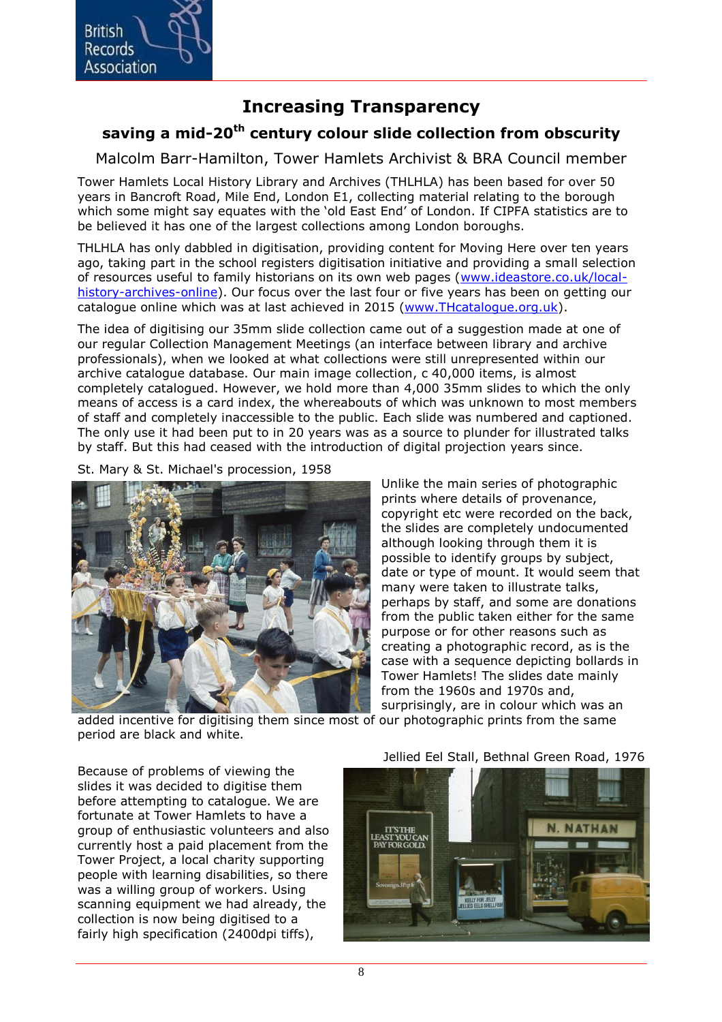

#### **Increasing Transparency**

#### **saving a mid-20th century colour slide collection from obscurity**

Malcolm Barr-Hamilton, Tower Hamlets Archivist & BRA Council member

Tower Hamlets Local History Library and Archives (THLHLA) has been based for over 50 years in Bancroft Road, Mile End, London E1, collecting material relating to the borough which some might say equates with the 'old East End' of London. If CIPFA statistics are to be believed it has one of the largest collections among London boroughs.

THLHLA has only dabbled in digitisation, providing content for Moving Here over ten years ago, taking part in the school registers digitisation initiative and providing a small selection of resources useful to family historians on its own web pages [\(www.ideastore.co.uk/local](http://www.ideastore.co.uk/local-history-archives-online)[history-archives-online\)](http://www.ideastore.co.uk/local-history-archives-online). Our focus over the last four or five years has been on getting our catalogue online which was at last achieved in 2015 [\(www.THcatalogue.org.uk\)](www.THcatalogue.org.uk).

The idea of digitising our 35mm slide collection came out of a suggestion made at one of our regular Collection Management Meetings (an interface between library and archive professionals), when we looked at what collections were still unrepresented within our archive catalogue database. Our main image collection, c 40,000 items, is almost completely catalogued. However, we hold more than 4,000 35mm slides to which the only means of access is a card index, the whereabouts of which was unknown to most members of staff and completely inaccessible to the public. Each slide was numbered and captioned. The only use it had been put to in 20 years was as a source to plunder for illustrated talks by staff. But this had ceased with the introduction of digital projection years since.

St. Mary & St. Michael's procession, 1958



Unlike the main series of photographic prints where details of provenance, copyright etc were recorded on the back, the slides are completely undocumented although looking through them it is possible to identify groups by subject, date or type of mount. It would seem that many were taken to illustrate talks, perhaps by staff, and some are donations from the public taken either for the same purpose or for other reasons such as creating a photographic record, as is the case with a sequence depicting bollards in Tower Hamlets! The slides date mainly from the 1960s and 1970s and, surprisingly, are in colour which was an

added incentive for digitising them since most of our photographic prints from the same period are black and white.

Because of problems of viewing the slides it was decided to digitise them before attempting to catalogue. We are fortunate at Tower Hamlets to have a group of enthusiastic volunteers and also currently host a paid placement from the Tower Project, a local charity supporting people with learning disabilities, so there was a willing group of workers. Using scanning equipment we had already, the collection is now being digitised to a fairly high specification (2400dpi tiffs),

Jellied Eel Stall, Bethnal Green Road, 1976

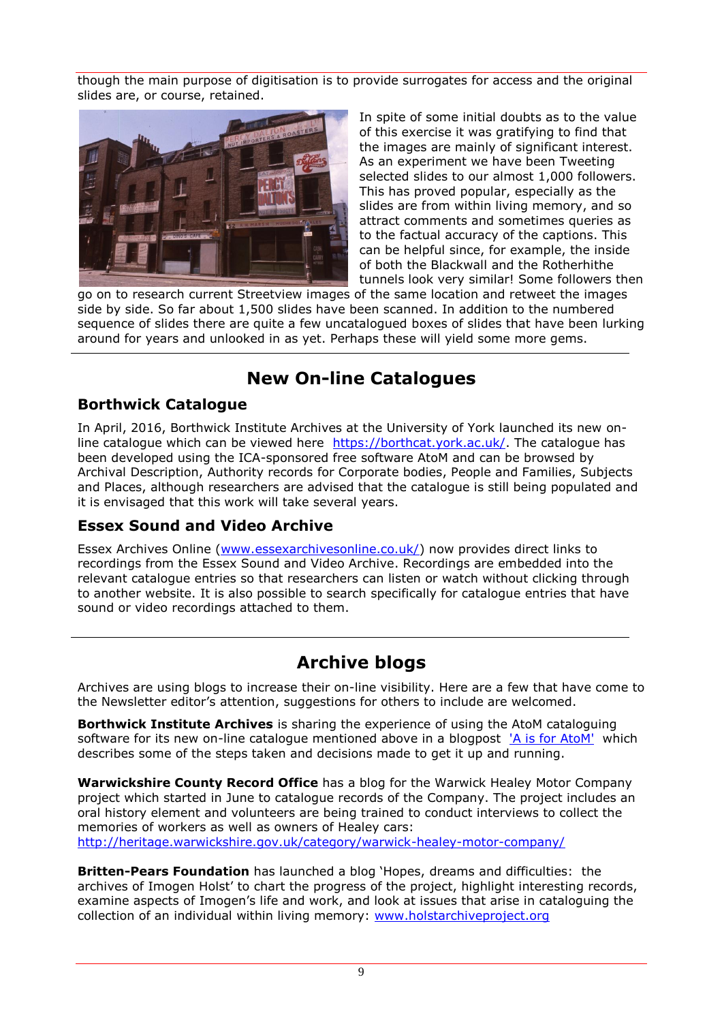though the main purpose of digitisation is to provide surrogates for access and the original slides are, or course, retained.



In spite of some initial doubts as to the value of this exercise it was gratifying to find that the images are mainly of significant interest. As an experiment we have been Tweeting selected slides to our almost 1,000 followers. This has proved popular, especially as the slides are from within living memory, and so attract comments and sometimes queries as to the factual accuracy of the captions. This can be helpful since, for example, the inside of both the Blackwall and the Rotherhithe tunnels look very similar! Some followers then

go on to research current Streetview images of the same location and retweet the images side by side. So far about 1,500 slides have been scanned. In addition to the numbered sequence of slides there are quite a few uncatalogued boxes of slides that have been lurking around for years and unlooked in as yet. Perhaps these will yield some more gems.

#### **New On-line Catalogues**

#### **Borthwick Catalogue**

In April, 2016, Borthwick Institute Archives at the University of York launched its new online catalogue which can be viewed here [https://borthcat.york.ac.uk/.](https://borthcat.york.ac.uk/) The catalogue has been developed using the ICA-sponsored free software AtoM and can be browsed by Archival Description, Authority records for Corporate bodies, People and Families, Subjects and Places, although researchers are advised that the catalogue is still being populated and it is envisaged that this work will take several years.

#### **Essex Sound and Video Archive**

Essex Archives Online [\(www.essexarchivesonline.co.uk/\)](http://www.essexarchivesonline.co.uk/) now provides direct links to recordings from the Essex Sound and Video Archive. Recordings are embedded into the relevant catalogue entries so that researchers can listen or watch without clicking through to another website. It is also possible to search specifically for catalogue entries that have sound or video recordings attached to them.

#### **Archive blogs**

Archives are using blogs to increase their on-line visibility. Here are a few that have come to the Newsletter editor's attention, suggestions for others to include are welcomed.

**Borthwick Institute Archives** is sharing the experience of using the AtoM cataloguing software for its new on-line catalogue mentioned above in a blogpost ['A is for AtoM'](http://digital-archiving.blogspot.co.uk/2016/03/a-is-for-atom.html) which describes some of the steps taken and decisions made to get it up and running.

**Warwickshire County Record Office** has a blog for the Warwick Healey Motor Company project which started in June to catalogue records of the Company. The project includes an oral history element and volunteers are being trained to conduct interviews to collect the memories of workers as well as owners of Healey cars: <http://heritage.warwickshire.gov.uk/category/warwick-healey-motor-company/>

**Britten-Pears Foundation** has launched a blog 'Hopes, dreams and difficulties: the archives of Imogen Holst' to chart the progress of the project, highlight interesting records, examine aspects of Imogen's life and work, and look at issues that arise in cataloguing the collection of an individual within living memory: [www.holstarchiveproject.org](mailbox://C:/Users/Janet/AppData/Roaming/Thunderbird/Profiles/58wwfmbl.default/Mail/Local%20Folders/Inbox.sbd/Archives%20listserve.sbd/www.holstarchiveproject.org)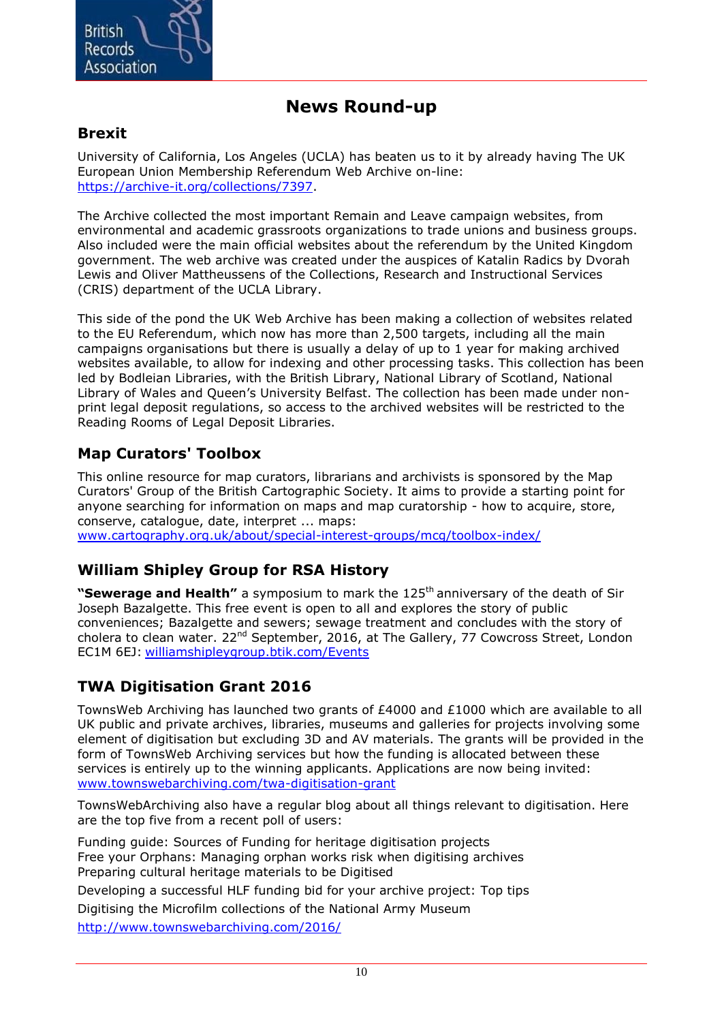

#### **News Round-up**

#### **Brexit**

University of California, Los Angeles (UCLA) has beaten us to it by already having The UK European Union Membership Referendum Web Archive on-line: [https://archive-it.org/collections/7397.](https://archive-it.org/collections/7397)

The Archive collected the most important Remain and Leave campaign websites, from environmental and academic grassroots organizations to trade unions and business groups. Also included were the main official websites about the referendum by the United Kingdom government. The web archive was created under the auspices of Katalin Radics by Dvorah Lewis and Oliver Mattheussens of the Collections, Research and Instructional Services (CRIS) department of the UCLA Library.

This side of the pond the UK Web Archive has been making a collection of websites related to the EU Referendum, which now has more than 2,500 targets, including all the main campaigns organisations but there is usually a delay of up to 1 year for making archived websites available, to allow for indexing and other processing tasks. This collection has been led by Bodleian Libraries, with the British Library, National Library of Scotland, National Library of Wales and Queen's University Belfast. The collection has been made under nonprint legal deposit regulations, so access to the archived websites will be restricted to the Reading Rooms of Legal Deposit Libraries.

#### **Map Curators' Toolbox**

This online resource for map curators, librarians and archivists is sponsored by the Map Curators' Group of the British Cartographic Society. It aims to provide a starting point for anyone searching for information on maps and map curatorship - how to acquire, store, conserve, catalogue, date, interpret ... maps:

<www.cartography.org.uk/about/special-interest-groups/mcg/toolbox-index/>

#### **William Shipley Group for RSA History**

**"Sewerage and Health"** a symposium to mark the 125<sup>th</sup> anniversary of the death of Sir Joseph Bazalgette. This free event is open to all and explores the story of public conveniences; Bazalgette and sewers; sewage treatment and concludes with the story of cholera to clean water. 22<sup>nd</sup> September, 2016, at The Gallery, 77 Cowcross Street, London EC1M 6EJ: <williamshipleygroup.btik.com/Events>

#### **TWA Digitisation Grant 2016**

TownsWeb Archiving has launched two grants of £4000 and £1000 which are available to all UK public and private archives, libraries, museums and galleries for projects involving some element of digitisation but excluding 3D and AV materials. The grants will be provided in the form of TownsWeb Archiving services but how the funding is allocated between these services is entirely up to the winning applicants. Applications are now being invited: <www.townswebarchiving.com/twa-digitisation-grant>

TownsWebArchiving also have a regular blog about all things relevant to digitisation. Here are the top five from a recent poll of users:

[Funding guide: Sources of Funding for heritage digitisation projects](http://townswebarchiving.us7.list-manage1.com/track/click?u=3224aad8d25e1cd59b922ac4c&id=d2dead05ec&e=128b5790e0) [Free your Orphans: Managing orphan works risk when digitising archives](http://townswebarchiving.us7.list-manage.com/track/click?u=3224aad8d25e1cd59b922ac4c&id=c36e42abac&e=128b5790e0) [Preparing cultural heritage materials to be Digitised](http://townswebarchiving.us7.list-manage1.com/track/click?u=3224aad8d25e1cd59b922ac4c&id=f01879e3f2&e=128b5790e0)

[Developing a successful HLF funding bid for your archive project:](http://townswebarchiving.us7.list-manage.com/track/click?u=3224aad8d25e1cd59b922ac4c&id=dc5d2db459&e=128b5790e0) Top tips

[Digitising the Microfilm collections of the National Army Museum](http://townswebarchiving.us7.list-manage.com/track/click?u=3224aad8d25e1cd59b922ac4c&id=246353b565&e=128b5790e0)

<http://www.townswebarchiving.com/2016/>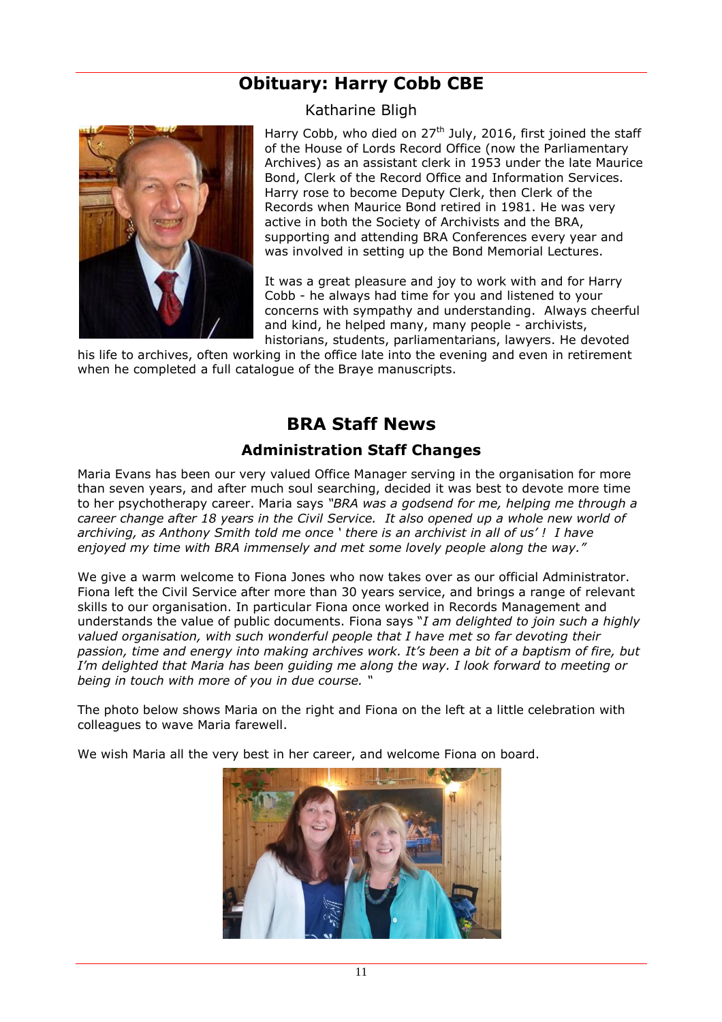#### **Obituary: Harry Cobb CBE**



Katharine Bligh

Harry Cobb, who died on  $27<sup>th</sup>$  July, 2016, first joined the staff of the House of Lords Record Office (now the Parliamentary Archives) as an assistant clerk in 1953 under the late Maurice Bond, Clerk of the Record Office and Information Services. Harry rose to become Deputy Clerk, then Clerk of the Records when Maurice Bond retired in 1981. He was very active in both the Society of Archivists and the BRA, supporting and attending BRA Conferences every year and was involved in setting up the Bond Memorial Lectures.

It was a great pleasure and joy to work with and for Harry Cobb - he always had time for you and listened to your concerns with sympathy and understanding. Always cheerful and kind, he helped many, many people - archivists, historians, students, parliamentarians, lawyers. He devoted

his life to archives, often working in the office late into the evening and even in retirement when he completed a full catalogue of the Braye manuscripts.

#### **BRA Staff News**

#### **Administration Staff Changes**

Maria Evans has been our very valued Office Manager serving in the organisation for more than seven years, and after much soul searching, decided it was best to devote more time to her psychotherapy career. Maria says *"BRA was a godsend for me, helping me through a career change after 18 years in the Civil Service. It also opened up a whole new world of archiving, as Anthony Smith told me once ' there is an archivist in all of us' ! I have enjoyed my time with BRA immensely and met some lovely people along the way."*

We give a warm welcome to Fiona Jones who now takes over as our official Administrator. Fiona left the Civil Service after more than 30 years service, and brings a range of relevant skills to our organisation. In particular Fiona once worked in Records Management and understands the value of public documents. Fiona says "*I am delighted to join such a highly valued organisation, with such wonderful people that I have met so far devoting their passion, time and energy into making archives work. It's been a bit of a baptism of fire, but I'm delighted that Maria has been guiding me along the way. I look forward to meeting or being in touch with more of you in due course. "* 

The photo below shows Maria on the right and Fiona on the left at a little celebration with colleagues to wave Maria farewell.

We wish Maria all the very best in her career, and welcome Fiona on board.